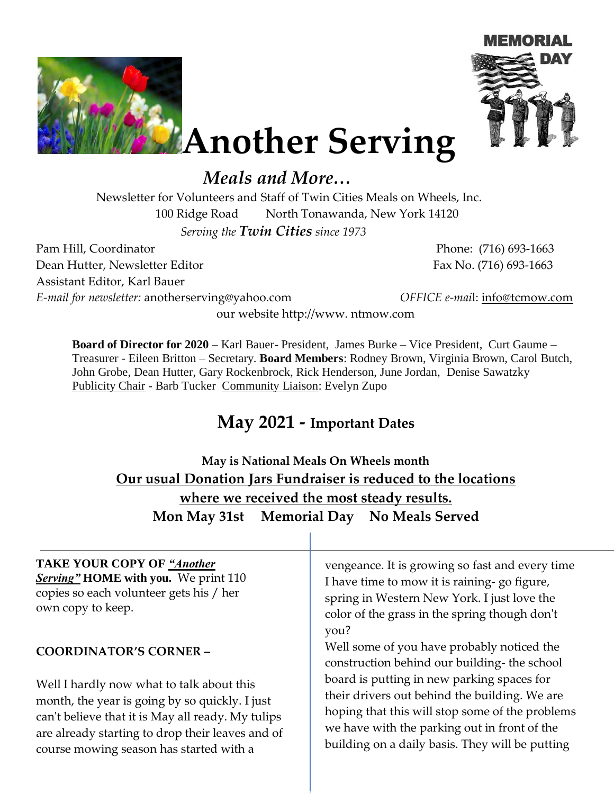



**Another Serving**

# *Meals and More…*

Newsletter for Volunteers and Staff of Twin Cities Meals on Wheels, Inc. 100 Ridge Road North Tonawanda, New York 14120

*Serving the Twin Cities since 1973* 

Pam Hill, Coordinator Phone: (716) 693-1663 Dean Hutter, Newsletter Editor Fax No. (716) 693-1663 Assistant Editor, Karl Bauer

*E-mail for newsletter:* anotherserving@yahoo.com *OFFICE e-mai*l: info@tcmow.com

our website http://www. ntmow.com

**Board of Director for 2020** – Karl Bauer- President, James Burke – Vice President, Curt Gaume – Treasurer - Eileen Britton – Secretary. **Board Members**: Rodney Brown, Virginia Brown, Carol Butch, John Grobe, Dean Hutter, Gary Rockenbrock, Rick Henderson, June Jordan, Denise Sawatzky Publicity Chair - Barb Tucker Community Liaison: Evelyn Zupo

## **May 2021 - Important Dates**

## **May is National Meals On Wheels month Our usual Donation Jars Fundraiser is reduced to the locations where we received the most steady results. Mon May 31st Memorial Day No Meals Served**

#### **TAKE YOUR COPY OF** *"Another Serving"* **HOME with you.** We print 110 copies so each volunteer gets his / her own copy to keep. **COORDINATOR'S CORNER –** Well I hardly now what to talk about this month, the year is going by so quickly. I just can't believe that it is May all ready. My tulips are already starting to drop their leaves and of course mowing season has started with a vengeance. It is growing so fast and every time I have time to mow it is raining- go figure, spring in Western New York. I just love the color of the grass in the spring though don't you? Well some of you have probably noticed the construction behind our building- the school board is putting in new parking spaces for their drivers out behind the building. We are hoping that this will stop some of the problems we have with the parking out in front of the building on a daily basis. They will be putting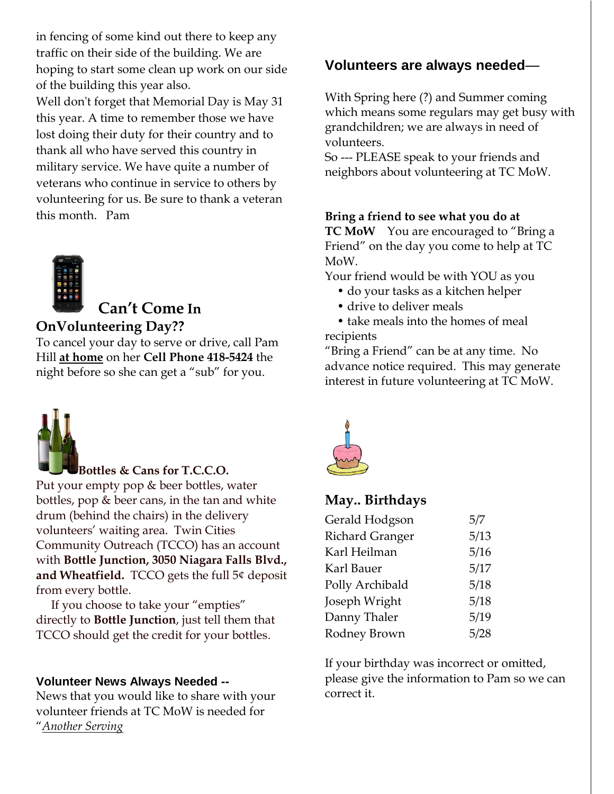in fencing of some kind out there to keep any traffic on their side of the building. We are hoping to start some clean up work on our side of the building this year also.

Well don't forget that Memorial Day is May 31 this year. A time to remember those we have lost doing their duty for their country and to thank all who have served this country in military service. We have quite a number of veterans who continue in service to others by volunteering for us. Be sure to thank a veteran this month. Pam



## **Can't Come In OnVolunteering Day??**

To cancel your day to serve or drive, call Pam Hill **at home** on her **Cell Phone 418-5424** the night before so she can get a "sub" for you.



## **Bottles & Cans for T.C.C.O.**

Put your empty pop & beer bottles, water bottles, pop & beer cans, in the tan and white drum (behind the chairs) in the delivery volunteers' waiting area. Twin Cities Community Outreach (TCCO) has an account with **Bottle Junction, 3050 Niagara Falls Blvd., and Wheatfield.** TCCO gets the full 5¢ deposit from every bottle.

 If you choose to take your "empties" directly to **Bottle Junction**, just tell them that TCCO should get the credit for your bottles.

#### **Volunteer News Always Needed --**

News that you would like to share with your volunteer friends at TC MoW is needed for "*Another Serving*

## **Volunteers are always needed**—

With Spring here (?) and Summer coming which means some regulars may get busy with grandchildren; we are always in need of volunteers.

So --- PLEASE speak to your friends and neighbors about volunteering at TC MoW.

#### **Bring a friend to see what you do at**

**TC MoW** You are encouraged to "Bring a Friend" on the day you come to help at TC MoW.

Your friend would be with YOU as you

- do your tasks as a kitchen helper
- drive to deliver meals
- take meals into the homes of meal recipients

"Bring a Friend" can be at any time. No advance notice required. This may generate interest in future volunteering at TC MoW.



### **May.. Birthdays**

| Gerald Hodgson         | 5/7  |
|------------------------|------|
| <b>Richard Granger</b> | 5/13 |
| Karl Heilman           | 5/16 |
| Karl Bauer             | 5/17 |
| Polly Archibald        | 5/18 |
| Joseph Wright          | 5/18 |
| Danny Thaler           | 5/19 |
| Rodney Brown           | 5/28 |

If your birthday was incorrect or omitted, please give the information to Pam so we can correct it.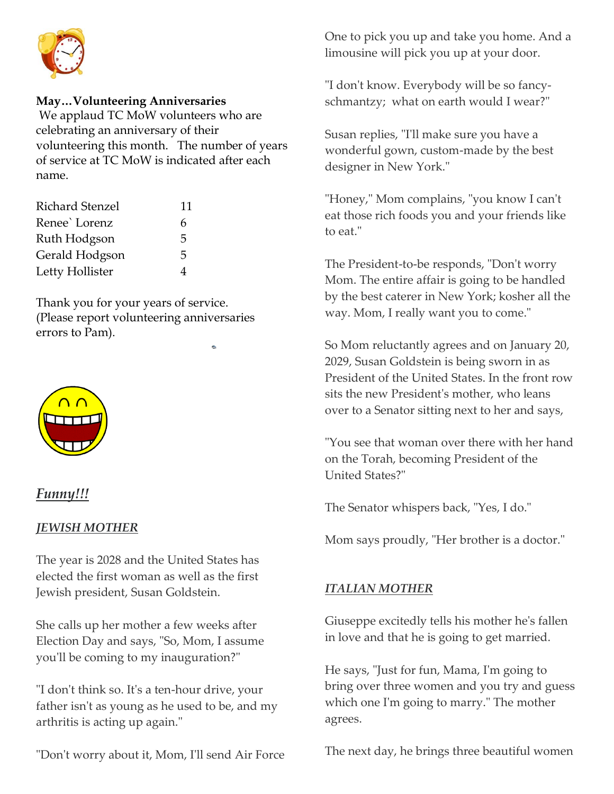

#### **May…Volunteering Anniversaries**

We applaud TC MoW volunteers who are celebrating an anniversary of their volunteering this month. The number of years of service at TC MoW is indicated after each name.

| <b>Richard Stenzel</b> | 11 |
|------------------------|----|
| Renee' Lorenz          | 6  |
| Ruth Hodgson           | 5  |
| Gerald Hodgson         | 5  |
| Letty Hollister        |    |

Thank you for your years of service. (Please report volunteering anniversaries errors to Pam).



## *Funny!!!*

#### *JEWISH MOTHER*

The year is 2028 and the United States has elected the first woman as well as the first Jewish president, Susan Goldstein.

She calls up her mother a few weeks after Election Day and says, "So, Mom, I assume you'll be coming to my inauguration?"

"I don't think so. It's a ten-hour drive, your father isn't as young as he used to be, and my arthritis is acting up again."

"Don't worry about it, Mom, I'll send Air Force

One to pick you up and take you home. And a limousine will pick you up at your door.

"I don't know. Everybody will be so fancyschmantzy; what on earth would I wear?"

Susan replies, "I'll make sure you have a wonderful gown, custom-made by the best designer in New York."

"Honey," Mom complains, "you know I can't eat those rich foods you and your friends like to eat."

The President-to-be responds, "Don't worry Mom. The entire affair is going to be handled by the best caterer in New York; kosher all the way. Mom, I really want you to come."

So Mom reluctantly agrees and on January 20, 2029, Susan Goldstein is being sworn in as President of the United States. In the front row sits the new President's mother, who leans over to a Senator sitting next to her and says,

"You see that woman over there with her hand on the Torah, becoming President of the United States?"

The Senator whispers back, "Yes, I do."

Mom says proudly, "Her brother is a doctor."

#### *ITALIAN MOTHER*

Giuseppe excitedly tells his mother he's fallen in love and that he is going to get married.

He says, "Just for fun, Mama, I'm going to bring over three women and you try and guess which one I'm going to marry." The mother agrees.

The next day, he brings three beautiful women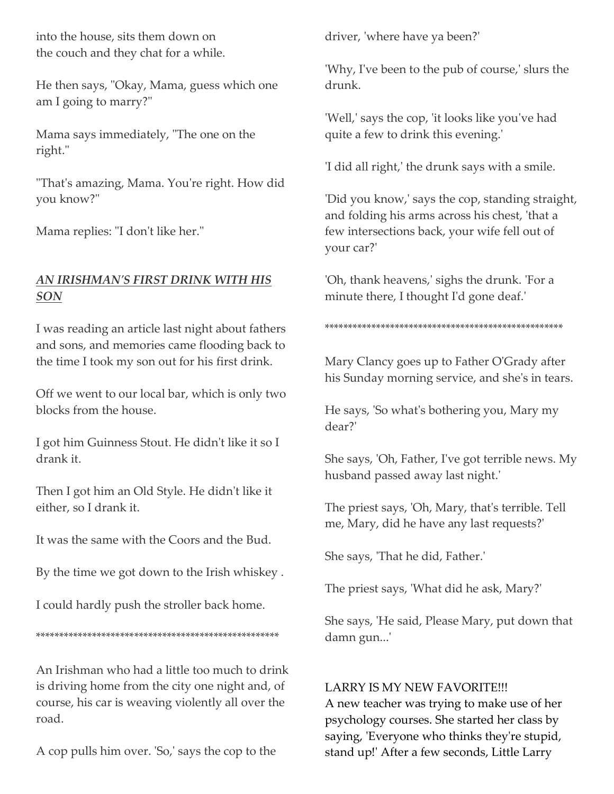into the house, sits them down on the couch and they chat for a while.

He then says, "Okay, Mama, guess which one am I going to marry?"

Mama says immediately, "The one on the right."

"That's amazing, Mama. You're right. How did you know?"

Mama replies: "I don't like her."

## *AN IRISHMAN'S FIRST DRINK WITH HIS SON*

I was reading an article last night about fathers and sons, and memories came flooding back to the time I took my son out for his first drink.

Off we went to our local bar, which is only two blocks from the house.

I got him Guinness Stout. He didn't like it so I drank it.

Then I got him an Old Style. He didn't like it either, so I drank it.

It was the same with the Coors and the Bud.

By the time we got down to the Irish whiskey .

I could hardly push the stroller back home.

\*\*\*\*\*\*\*\*\*\*\*\*\*\*\*\*\*\*\*\*\*\*\*\*\*\*\*\*\*\*\*\*\*\*\*\*\*\*\*\*\*\*\*\*\*\*\*\*\*\*\*\*

An Irishman who had a little too much to drink is driving home from the city one night and, of course, his car is weaving violently all over the road.

A cop pulls him over. 'So,' says the cop to the

driver, 'where have ya been?'

'Why, I've been to the pub of course,' slurs the drunk.

'Well,' says the cop, 'it looks like you've had quite a few to drink this evening.'

'I did all right,' the drunk says with a smile.

'Did you know,' says the cop, standing straight, and folding his arms across his chest, 'that a few intersections back, your wife fell out of your car?'

'Oh, thank heavens,' sighs the drunk. 'For a minute there, I thought I'd gone deaf.'

#### \*\*\*\*\*\*\*\*\*\*\*\*\*\*\*\*\*\*\*\*\*\*\*\*\*\*\*\*\*\*\*\*\*\*\*\*\*\*\*\*\*\*\*\*\*\*\*\*\*\*\*

Mary Clancy goes up to Father O'Grady after his Sunday morning service, and she's in tears.

He says, 'So what's bothering you, Mary my dear?'

She says, 'Oh, Father, I've got terrible news. My husband passed away last night.'

The priest says, 'Oh, Mary, that's terrible. Tell me, Mary, did he have any last requests?'

She says, 'That he did, Father.'

The priest says, 'What did he ask, Mary?'

She says, 'He said, Please Mary, put down that damn gun...'

## LARRY IS MY NEW FAVORITE!!!

A new teacher was trying to make use of her psychology courses. She started her class by saying, 'Everyone who thinks they're stupid, stand up!' After a few seconds, Little Larry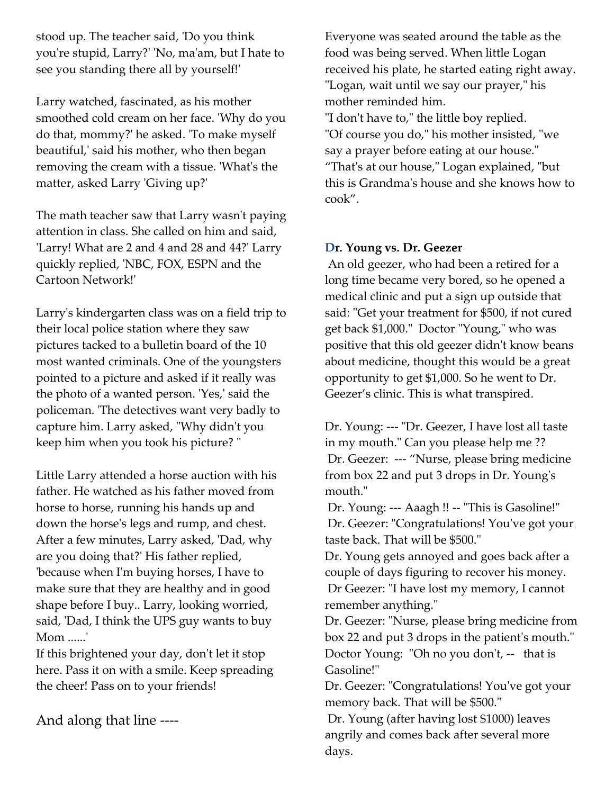stood up. The teacher said, 'Do you think you're stupid, Larry?' 'No, ma'am, but I hate to see you standing there all by yourself!'

Larry watched, fascinated, as his mother smoothed cold cream on her face. 'Why do you do that, mommy?' he asked. 'To make myself beautiful,' said his mother, who then began removing the cream with a tissue. 'What's the matter, asked Larry 'Giving up?'

The math teacher saw that Larry wasn't paying attention in class. She called on him and said, 'Larry! What are 2 and 4 and 28 and 44?' Larry quickly replied, 'NBC, FOX, ESPN and the Cartoon Network!'

Larry's kindergarten class was on a field trip to their local police station where they saw pictures tacked to a bulletin board of the 10 most wanted criminals. One of the youngsters pointed to a picture and asked if it really was the photo of a wanted person. 'Yes,' said the policeman. 'The detectives want very badly to capture him. Larry asked, "Why didn't you keep him when you took his picture? "

Little Larry attended a horse auction with his father. He watched as his father moved from horse to horse, running his hands up and down the horse's legs and rump, and chest. After a few minutes, Larry asked, 'Dad, why are you doing that?' His father replied, 'because when I'm buying horses, I have to make sure that they are healthy and in good shape before I buy.. Larry, looking worried, said, 'Dad, I think the UPS guy wants to buy Mom ......'

If this brightened your day, don't let it stop here. Pass it on with a smile. Keep spreading the cheer! Pass on to your friends!

And along that line ----

Everyone was seated around the table as the food was being served. When little Logan received his plate, he started eating right away. "Logan, wait until we say our prayer," his mother reminded him. "I don't have to," the little boy replied. "Of course you do," his mother insisted, "we say a prayer before eating at our house." "That's at our house," Logan explained, "but this is Grandma's house and she knows how to cook".

#### **Dr. Young vs. Dr. Geezer**

An old geezer, who had been a retired for a long time became very bored, so he opened a medical clinic and put a sign up outside that said: "Get your treatment for \$500, if not cured get back \$1,000." Doctor "Young," who was positive that this old geezer didn't know beans about medicine, thought this would be a great opportunity to get \$1,000. So he went to Dr. Geezer's clinic. This is what transpired.

Dr. Young: --- "Dr. Geezer, I have lost all taste in my mouth." Can you please help me ?? Dr. Geezer: --- "Nurse, please bring medicine from box 22 and put 3 drops in Dr. Young's mouth."

Dr. Young: --- Aaagh !! -- "This is Gasoline!" Dr. Geezer: "Congratulations! You've got your taste back. That will be \$500."

Dr. Young gets annoyed and goes back after a couple of days figuring to recover his money. Dr Geezer: "I have lost my memory, I cannot remember anything."

Dr. Geezer: "Nurse, please bring medicine from box 22 and put 3 drops in the patient's mouth." Doctor Young: "Oh no you don't, -- that is Gasoline!"

Dr. Geezer: "Congratulations! You've got your memory back. That will be \$500."

Dr. Young (after having lost \$1000) leaves angrily and comes back after several more days.